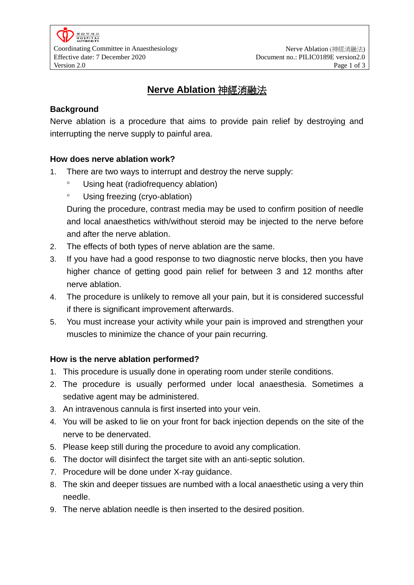# **Nerve Ablation** 神經消融法

# **Background**

Nerve ablation is a procedure that aims to provide pain relief by destroying and interrupting the nerve supply to painful area.

# **How does nerve ablation work?**

- 1. There are two ways to interrupt and destroy the nerve supply:
	- Using heat (radiofrequency ablation)
	- Using freezing (cryo-ablation)

During the procedure, contrast media may be used to confirm position of needle and local anaesthetics with/without steroid may be injected to the nerve before and after the nerve ablation.

- 2. The effects of both types of nerve ablation are the same.
- 3. If you have had a good response to two diagnostic nerve blocks, then you have higher chance of getting good pain relief for between 3 and 12 months after nerve ablation.
- 4. The procedure is unlikely to remove all your pain, but it is considered successful if there is significant improvement afterwards.
- 5. You must increase your activity while your pain is improved and strengthen your muscles to minimize the chance of your pain recurring.

# **How is the nerve ablation performed?**

- 1. This procedure is usually done in operating room under sterile conditions.
- 2. The procedure is usually performed under local anaesthesia. Sometimes a sedative agent may be administered.
- 3. An intravenous cannula is first inserted into your vein.
- 4. You will be asked to lie on your front for back injection depends on the site of the nerve to be denervated.
- 5. Please keep still during the procedure to avoid any complication.
- 6. The doctor will disinfect the target site with an anti-septic solution.
- 7. Procedure will be done under X-ray guidance.
- 8. The skin and deeper tissues are numbed with a local anaesthetic using a very thin needle.
- 9. The nerve ablation needle is then inserted to the desired position.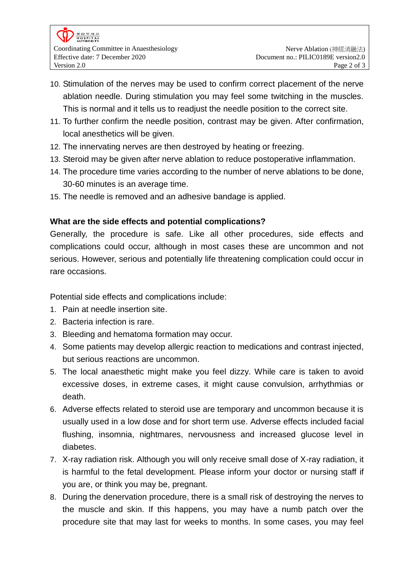- 10. Stimulation of the nerves may be used to confirm correct placement of the nerve ablation needle. During stimulation you may feel some twitching in the muscles. This is normal and it tells us to readjust the needle position to the correct site.
- 11. To further confirm the needle position, contrast may be given. After confirmation, local anesthetics will be given.
- 12. The innervating nerves are then destroyed by heating or freezing.
- 13. Steroid may be given after nerve ablation to reduce postoperative inflammation.
- 14. The procedure time varies according to the number of nerve ablations to be done, 30-60 minutes is an average time.
- 15. The needle is removed and an adhesive bandage is applied.

# **What are the side effects and potential complications?**

Generally, the procedure is safe. Like all other procedures, side effects and complications could occur, although in most cases these are uncommon and not serious. However, serious and potentially life threatening complication could occur in rare occasions.

Potential side effects and complications include:

- 1. Pain at needle insertion site.
- 2. Bacteria infection is rare.
- 3. Bleeding and hematoma formation may occur.
- 4. Some patients may develop allergic reaction to medications and contrast injected, but serious reactions are uncommon.
- 5. The local anaesthetic might make you feel dizzy. While care is taken to avoid excessive doses, in extreme cases, it might cause convulsion, arrhythmias or death.
- 6. Adverse effects related to steroid use are temporary and uncommon because it is usually used in a low dose and for short term use. Adverse effects included facial flushing, insomnia, nightmares, nervousness and increased glucose level in diabetes.
- 7. X-ray radiation risk. Although you will only receive small dose of X-ray radiation, it is harmful to the fetal development. Please inform your doctor or nursing staff if you are, or think you may be, pregnant.
- 8. During the denervation procedure, there is a small risk of destroying the nerves to the muscle and skin. If this happens, you may have a numb patch over the procedure site that may last for weeks to months. In some cases, you may feel